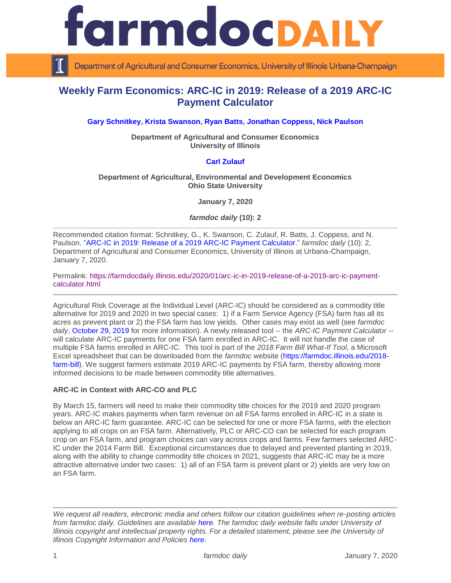

Department of Agricultural and Consumer Economics, University of Illinois Urbana-Champaign

# **Weekly Farm Economics: ARC-IC in 2019: Release of a 2019 ARC-IC Payment Calculator**

### **[Gary Schnitkey,](https://ace.illinois.edu/directory/schnitke) [Krista Swanson,](https://ace.illinois.edu/directory/krista) [Ryan Batts,](https://ace.illinois.edu/directory/batts) [Jonathan Coppess,](https://ace.illinois.edu/directory/jwcoppes) [Nick Paulson](https://ace.illinois.edu/directory/npaulson)**

**Department of Agricultural and Consumer Economics University of Illinois**

#### **[Carl Zulauf](http://aede.osu.edu/our-people/carl-zulauf)**

#### **Department of Agricultural, Environmental and Development Economics Ohio State University**

**January 7, 2020**

*farmdoc daily* **(10): 2**

Recommended citation format: Schnitkey, G., K. Swanson, C. Zulauf, R. Batts, J. Coppess, and N. Paulson. "ARC-IC in 2019: Release of a [2019 ARC-IC Payment Calculator.](https://farmdocdaily.illinois.edu/2020/01/arc-ic-in-2019-release-of-a-2019-arc-ic-payment-calculator.html)" *farmdoc daily* (10): 2, Department of Agricultural and Consumer Economics, University of Illinois at Urbana-Champaign, January 7, 2020.

Permalink: [https://farmdocdaily.illinois.edu/2020/01/arc-ic-in-2019-release-of-a-2019-arc-ic-payment](https://farmdocdaily.illinois.edu/2020/01/arc-ic-in-2019-release-of-a-2019-arc-ic-payment-calculator.html)[calculator.html](https://farmdocdaily.illinois.edu/2020/01/arc-ic-in-2019-release-of-a-2019-arc-ic-payment-calculator.html)

Agricultural Risk Coverage at the Individual Level (ARC-IC) should be considered as a commodity title alternative for 2019 and 2020 in two special cases: 1) if a Farm Service Agency (FSA) farm has all its acres as prevent plant or 2) the FSA farm has low yields. Other cases may exist as well (see *farmdoc daily*, [October 29, 2019](https://farmdocdaily.illinois.edu/2019/10/the-case-for-looking-at-the-arc-ic-arc-individual-program-option.html) for more information). A newly released tool -- the *ARC-IC Payment Calculator* - will calculate ARC-IC payments for one FSA farm enrolled in ARC-IC. It will not handle the case of multiple FSA farms enrolled in ARC-IC. This tool is part of the *2018 Farm Bill What-If Tool*, a Microsoft Excel spreadsheet that can be downloaded from the *farmdoc* website [\(https://farmdoc.illinois.edu/2018](https://farmdoc.illinois.edu/2018-farm-bill) [farm-bill\)](https://farmdoc.illinois.edu/2018-farm-bill). We suggest farmers estimate 2019 ARC-IC payments by FSA farm, thereby allowing more informed decisions to be made between commodity title alternatives.

#### **ARC-IC in Context with ARC-CO and PLC**

By March 15, farmers will need to make their commodity title choices for the 2019 and 2020 program years. ARC-IC makes payments when farm revenue on all FSA farms enrolled in ARC-IC in a state is below an ARC-IC farm guarantee. ARC-IC can be selected for one or more FSA farms, with the election applying to all crops on an FSA farm. Alternatively, PLC or ARC-CO can be selected for each program crop on an FSA farm, and program choices can vary across crops and farms. Few farmers selected ARC-IC under the 2014 Farm Bill. Exceptional circumstances due to delayed and prevented planting in 2019, along with the ability to change commodity title choices in 2021, suggests that ARC-IC may be a more attractive alternative under two cases: 1) all of an FSA farm is prevent plant or 2) yields are very low on an FSA farm.

*We request all readers, electronic media and others follow our citation guidelines when re-posting articles from farmdoc daily. Guidelines are available [here.](http://farmdocdaily.illinois.edu/citationguide.html) The farmdoc daily website falls under University of Illinois copyright and intellectual property rights. For a detailed statement, please see the University of Illinois Copyright Information and Policies [here.](http://www.cio.illinois.edu/policies/copyright/)*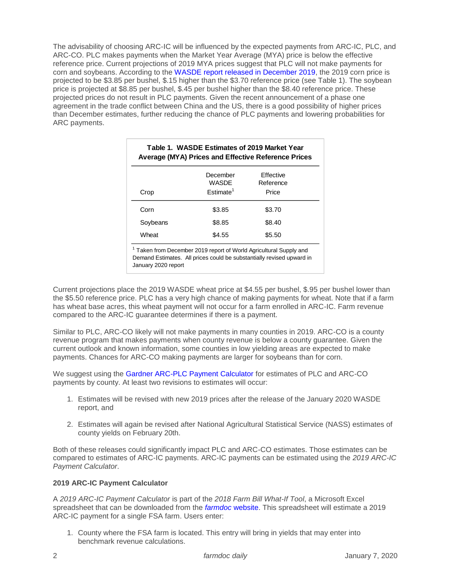The advisability of choosing ARC-IC will be influenced by the expected payments from ARC-IC, PLC, and ARC-CO. PLC makes payments when the Market Year Average (MYA) price is below the effective reference price. Current projections of 2019 MYA prices suggest that PLC will not make payments for corn and soybeans. According to the [WASDE report released in December 2019,](https://www.usda.gov/oce/commodity/wasde/wasde1219.pdf) the 2019 corn price is projected to be \$3.85 per bushel, \$.15 higher than the \$3.70 reference price (see Table 1). The soybean price is projected at \$8.85 per bushel, \$.45 per bushel higher than the \$8.40 reference price. These projected prices do not result in PLC payments. Given the recent announcement of a phase one agreement in the trade conflict between China and the US, there is a good possibility of higher prices than December estimates, further reducing the chance of PLC payments and lowering probabilities for ARC payments.

|          | December<br>WASDE     | <b>Fffective</b><br>Reference |
|----------|-----------------------|-------------------------------|
| Crop     | Fstimate <sup>1</sup> | Price                         |
| Corn     | \$3.85                | \$3.70                        |
| Soybeans | \$8.85                | \$8.40                        |
| Wheat    | \$4.55                | \$5.50                        |

Current projections place the 2019 WASDE wheat price at \$4.55 per bushel, \$.95 per bushel lower than the \$5.50 reference price. PLC has a very high chance of making payments for wheat. Note that if a farm has wheat base acres, this wheat payment will not occur for a farm enrolled in ARC-IC. Farm revenue compared to the ARC-IC guarantee determines if there is a payment.

Similar to PLC, ARC-CO likely will not make payments in many counties in 2019. ARC-CO is a county revenue program that makes payments when county revenue is below a county guarantee. Given the current outlook and known information, some counties in low yielding areas are expected to make payments. Chances for ARC-CO making payments are larger for soybeans than for corn.

We suggest using the [Gardner ARC-PLC Payment Calculator](https://fd-tools.ncsa.illinois.edu/) for estimates of PLC and ARC-CO payments by county. At least two revisions to estimates will occur:

- 1. Estimates will be revised with new 2019 prices after the release of the January 2020 WASDE report, and
- 2. Estimates will again be revised after National Agricultural Statistical Service (NASS) estimates of county yields on February 20th.

Both of these releases could significantly impact PLC and ARC-CO estimates. Those estimates can be compared to estimates of ARC-IC payments. ARC-IC payments can be estimated using the *2019 ARC-IC Payment Calculator*.

## **2019 ARC-IC Payment Calculator**

A *2019 ARC-IC Payment Calculator* is part of the *2018 Farm Bill What-If Tool*, a Microsoft Excel spreadsheet that can be downloaded from the *[farmdoc](https://farmdoc.illinois.edu/2018-farm-bill)* website. This spreadsheet will estimate a 2019 ARC-IC payment for a single FSA farm. Users enter:

1. County where the FSA farm is located. This entry will bring in yields that may enter into benchmark revenue calculations.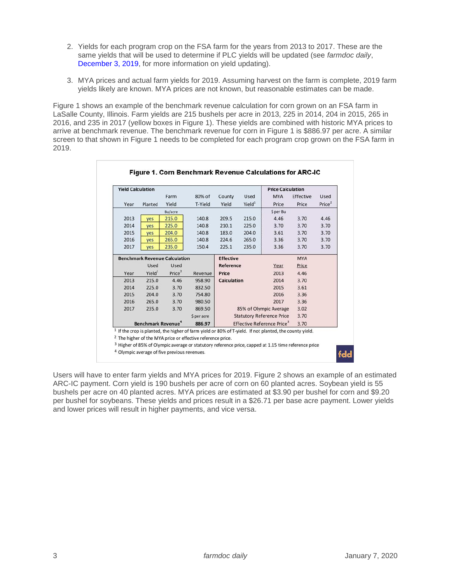- 2. Yields for each program crop on the FSA farm for the years from 2013 to 2017. These are the same yields that will be used to determine if PLC yields will be updated (see *farmdoc daily*, [December 3, 2019,](https://farmdocdaily.illinois.edu/2019/12/yield-updating-decisions-under-the-2018-farm-bill.html) for more information on yield updating).
- 3. MYA prices and actual farm yields for 2019. Assuming harvest on the farm is complete, 2019 farm yields likely are known. MYA prices are not known, but reasonable estimates can be made.

Figure 1 shows an example of the benchmark revenue calculation for corn grown on an FSA farm in LaSalle County, Illinois. Farm yields are 215 bushels per acre in 2013, 225 in 2014, 204 in 2015, 265 in 2016, and 235 in 2017 (yellow boxes in Figure 1). These yields are combined with historic MYA prices to arrive at benchmark revenue. The benchmark revenue for corn in Figure 1 is \$886.97 per acre. A similar screen to that shown in Figure 1 needs to be completed for each program crop grown on the FSA farm in 2019.

| <b>Yield Calculation</b>                        |                    |                                        |                  |                        |                    | <b>Price Calculation</b>         |           |                    |
|-------------------------------------------------|--------------------|----------------------------------------|------------------|------------------------|--------------------|----------------------------------|-----------|--------------------|
|                                                 |                    | Farm                                   | 80% of           | County                 | Used               | <b>MYA</b>                       | Effective | Used               |
| Year                                            | Planted            | Yield                                  | T-Yield          | Yield                  | Yield <sup>1</sup> | Price                            | Price     | Price <sup>2</sup> |
| <b>Bu/acre</b>                                  |                    |                                        |                  |                        | \$ per Bu          |                                  |           |                    |
| 2013                                            | yes                | 215.0                                  | 140.8            | 209.5                  | 215.0              | 4.46                             | 3.70      | 4.46               |
| 2014                                            | yes                | 225.0                                  | 140.8            | 210.1                  | 225.0              | 3.70                             | 3.70      | 3.70               |
| 2015                                            | ves                | 204.0                                  | 140.8            | 183.0                  | 204.0              | 3.61                             | 3.70      | 3.70               |
| 2016                                            | yes                | 265.0                                  | 140.8            | 224.6                  | 265.0              | 3.36                             | 3.70      | 3.70               |
| 2017                                            | ves                | 235.0                                  | 150.4            | 225.1                  | 235.0              | 3.36                             | 3.70      | 3.70               |
| <b>Benchmark Revenue Calculation</b>            |                    |                                        | <b>Effective</b> |                        |                    | <b>MYA</b>                       |           |                    |
|                                                 | Used               | Used                                   |                  | <b>Reference</b>       |                    | Year                             | Price     |                    |
| Year                                            | Yield <sup>1</sup> | Price <sup>2</sup>                     | Revenue          | Price                  |                    | 2013                             | 4.46      |                    |
| 2013                                            | 215.0              | 4.46                                   | 958.90           | <b>Calculation</b>     |                    | 2014                             | 3.70      |                    |
| 2014                                            | 225.0              | 3.70                                   | 832.50           |                        |                    | 2015                             | 3.61      |                    |
| 2015                                            | 204.0              | 3.70                                   | 754.80           |                        |                    | 2016                             | 3.36      |                    |
| 2016                                            | 265.0              | 3.70                                   | 980.50           |                        |                    | 2017                             | 3.36      |                    |
| 2017                                            | 235.0              | 3.70                                   | 869.50           | 85% of Olympic Average |                    |                                  | 3.02      |                    |
|                                                 |                    |                                        | \$ per acre      |                        |                    | <b>Statutory Reference Price</b> | 3.70      |                    |
| <b>Benchmark Revenue</b> <sup>4</sup><br>886.97 |                    | Effective Reference Price <sup>3</sup> |                  |                        | 3.70               |                                  |           |                    |

<sup>2</sup> The higher of the MYA price or effective reference price.

<sup>3</sup> Higher of 85% of Olympic average or statutory reference price, capped at 1.15 time reference price

<sup>4</sup> Olympic average of five previous revenues.

fdd

Users will have to enter farm yields and MYA prices for 2019. Figure 2 shows an example of an estimated ARC-IC payment. Corn yield is 190 bushels per acre of corn on 60 planted acres. Soybean yield is 55 bushels per acre on 40 planted acres. MYA prices are estimated at \$3.90 per bushel for corn and \$9.20 per bushel for soybeans. These yields and prices result in a \$26.71 per base acre payment. Lower yields and lower prices will result in higher payments, and vice versa.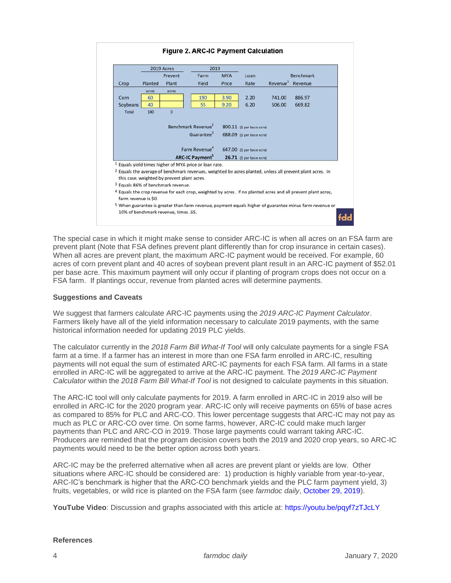

The special case in which it might make sense to consider ARC-IC is when all acres on an FSA farm are prevent plant (Note that FSA defines prevent plant differently than for crop insurance in certain cases). When all acres are prevent plant, the maximum ARC-IC payment would be received. For example, 60 acres of corn prevent plant and 40 acres of soybean prevent plant result in an ARC-IC payment of \$52.01 per base acre. This maximum payment will only occur if planting of program crops does not occur on a FSA farm. If plantings occur, revenue from planted acres will determine payments.

#### **Suggestions and Caveats**

We suggest that farmers calculate ARC-IC payments using the *2019 ARC-IC Payment Calculator*. Farmers likely have all of the yield information necessary to calculate 2019 payments, with the same historical information needed for updating 2019 PLC yields.

The calculator currently in the *2018 Farm Bill What-If Tool* will only calculate payments for a single FSA farm at a time. If a farmer has an interest in more than one FSA farm enrolled in ARC-IC, resulting payments will not equal the sum of estimated ARC-IC payments for each FSA farm. All farms in a state enrolled in ARC-IC will be aggregated to arrive at the ARC-IC payment. The *2019 ARC-IC Payment Calculator* within the *2018 Farm Bill What-If Tool* is not designed to calculate payments in this situation.

The ARC-IC tool will only calculate payments for 2019. A farm enrolled in ARC-IC in 2019 also will be enrolled in ARC-IC for the 2020 program year. ARC-IC only will receive payments on 65% of base acres as compared to 85% for PLC and ARC-CO. This lower percentage suggests that ARC-IC may not pay as much as PLC or ARC-CO over time. On some farms, however, ARC-IC could make much larger payments than PLC and ARC-CO in 2019. Those large payments could warrant taking ARC-IC. Producers are reminded that the program decision covers both the 2019 and 2020 crop years, so ARC-IC payments would need to be the better option across both years.

ARC-IC may be the preferred alternative when all acres are prevent plant or yields are low. Other situations where ARC-IC should be considered are: 1) production is highly variable from year-to-year, ARC-IC's benchmark is higher that the ARC-CO benchmark yields and the PLC farm payment yield, 3) fruits, vegetables, or wild rice is planted on the FSA farm (see *farmdoc daily*, [October 29, 2019\)](https://farmdocdaily.illinois.edu/2019/10/the-case-for-looking-at-the-arc-ic-arc-individual-program-option.html).

**YouTube Video**: Discussion and graphs associated with this article at:<https://youtu.be/pqyf7zTJcLY>